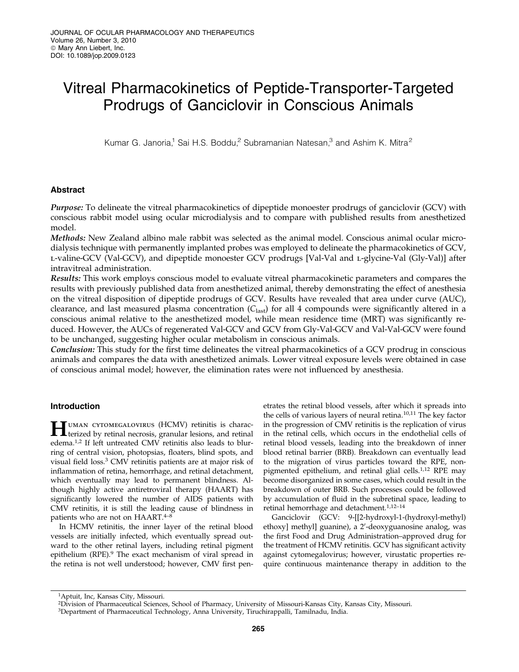# Vitreal Pharmacokinetics of Peptide-Transporter-Targeted Prodrugs of Ganciclovir in Conscious Animals

Kumar G. Janoria,<sup>1</sup> Sai H.S. Boddu,<sup>2</sup> Subramanian Natesan,<sup>3</sup> and Ashim K. Mitra<sup>2</sup>

# Abstract

Purpose: To delineate the vitreal pharmacokinetics of dipeptide monoester prodrugs of ganciclovir (GCV) with conscious rabbit model using ocular microdialysis and to compare with published results from anesthetized model.

Methods: New Zealand albino male rabbit was selected as the animal model. Conscious animal ocular microdialysis technique with permanently implanted probes was employed to delineate the pharmacokinetics of GCV, l-valine-GCV (Val-GCV), and dipeptide monoester GCV prodrugs [Val-Val and l-glycine-Val (Gly-Val)] after intravitreal administration.

Results: This work employs conscious model to evaluate vitreal pharmacokinetic parameters and compares the results with previously published data from anesthetized animal, thereby demonstrating the effect of anesthesia on the vitreal disposition of dipeptide prodrugs of GCV. Results have revealed that area under curve (AUC), clearance, and last measured plasma concentration (*C*last) for all 4 compounds were significantly altered in a conscious animal relative to the anesthetized model, while mean residence time (MRT) was significantly reduced. However, the AUCs of regenerated Val-GCV and GCV from Gly-Val-GCV and Val-Val-GCV were found to be unchanged, suggesting higher ocular metabolism in conscious animals.

Conclusion: This study for the first time delineates the vitreal pharmacokinetics of a GCV prodrug in conscious animals and compares the data with anesthetized animals. Lower vitreal exposure levels were obtained in case of conscious animal model; however, the elimination rates were not influenced by anesthesia.

# Introduction

**HE** UMAN CYTOMEGALOVIRUS (HCMV) retinitis is charac-<br>**HE** terized by retinal necrosis, granular lesions, and retinal terized by retinal necrosis, granular lesions, and retinal edema.<sup>1,2</sup> If left untreated CMV retinitis also leads to blurring of central vision, photopsias, floaters, blind spots, and visual field loss.<sup>3</sup> CMV retinitis patients are at major risk of inflammation of retina, hemorrhage, and retinal detachment, which eventually may lead to permanent blindness. Although highly active antiretroviral therapy (HAART) has significantly lowered the number of AIDS patients with CMV retinitis, it is still the leading cause of blindness in patients who are not on HAART.<sup>4-8</sup>

In HCMV retinitis, the inner layer of the retinal blood vessels are initially infected, which eventually spread outward to the other retinal layers, including retinal pigment epithelium (RPE).<sup>9</sup> The exact mechanism of viral spread in the retina is not well understood; however, CMV first penetrates the retinal blood vessels, after which it spreads into the cells of various layers of neural retina.10,11 The key factor in the progression of CMV retinitis is the replication of virus in the retinal cells, which occurs in the endothelial cells of retinal blood vessels, leading into the breakdown of inner blood retinal barrier (BRB). Breakdown can eventually lead to the migration of virus particles toward the RPE, nonpigmented epithelium, and retinal glial cells.<sup>1,12</sup> RPE may become disorganized in some cases, which could result in the breakdown of outer BRB. Such processes could be followed by accumulation of fluid in the subretinal space, leading to retinal hemorrhage and detachment.1,12–14

Ganciclovir (GCV: 9-[[2-hydroxyl-1-(hydroxyl-methyl) ethoxy] methyl] guanine), a 2'-deoxyguanosine analog, was the first Food and Drug Administration–approved drug for the treatment of HCMV retinitis. GCV has significant activity against cytomegalovirus; however, virustatic properties require continuous maintenance therapy in addition to the

<sup>&</sup>lt;sup>1</sup>Aptuit, Inc, Kansas City, Missouri.

<sup>2</sup>Division of Pharmaceutical Sciences, School of Pharmacy, University of Missouri-Kansas City, Kansas City, Missouri.

<sup>&</sup>lt;sup>3</sup>Department of Pharmaceutical Technology, Anna University, Tiruchirappalli, Tamilnadu, India.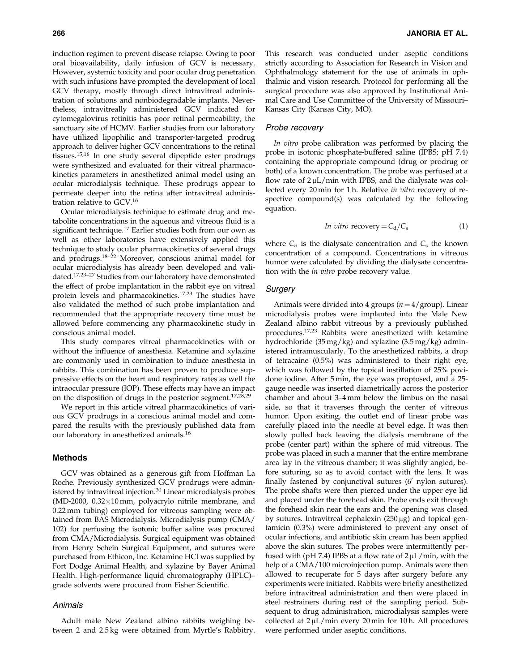induction regimen to prevent disease relapse. Owing to poor oral bioavailability, daily infusion of GCV is necessary. However, systemic toxicity and poor ocular drug penetration with such infusions have prompted the development of local GCV therapy, mostly through direct intravitreal administration of solutions and nonbiodegradable implants. Nevertheless, intravitreally administered GCV indicated for cytomegalovirus retinitis has poor retinal permeability, the sanctuary site of HCMV. Earlier studies from our laboratory have utilized lipophilic and transporter-targeted prodrug approach to deliver higher GCV concentrations to the retinal tissues.15,16 In one study several dipeptide ester prodrugs were synthesized and evaluated for their vitreal pharmacokinetics parameters in anesthetized animal model using an ocular microdialysis technique. These prodrugs appear to permeate deeper into the retina after intravitreal administration relative to GCV.<sup>16</sup>

Ocular microdialysis technique to estimate drug and metabolite concentrations in the aqueous and vitreous fluid is a significant technique.<sup>17</sup> Earlier studies both from our own as well as other laboratories have extensively applied this technique to study ocular pharmacokinetics of several drugs and prodrugs.18–22 Moreover, conscious animal model for ocular microdialysis has already been developed and validated.17,23–27 Studies from our laboratory have demonstrated the effect of probe implantation in the rabbit eye on vitreal protein levels and pharmacokinetics.17,23 The studies have also validated the method of such probe implantation and recommended that the appropriate recovery time must be allowed before commencing any pharmacokinetic study in conscious animal model.

This study compares vitreal pharmacokinetics with or without the influence of anesthesia. Ketamine and xylazine are commonly used in combination to induce anesthesia in rabbits. This combination has been proven to produce suppressive effects on the heart and respiratory rates as well the intraocular pressure (IOP). These effects may have an impact on the disposition of drugs in the posterior segment.17,28,29

We report in this article vitreal pharmacokinetics of various GCV prodrugs in a conscious animal model and compared the results with the previously published data from our laboratory in anesthetized animals.<sup>16</sup>

## Methods

GCV was obtained as a generous gift from Hoffman La Roche. Previously synthesized GCV prodrugs were administered by intravitreal injection.<sup>30</sup> Linear microdialysis probes (MD-2000,  $0.32 \times 10$  mm, polyacrylo nitrile membrane, and 0.22 mm tubing) employed for vitreous sampling were obtained from BAS Microdialysis. Microdialysis pump (CMA/ 102) for perfusing the isotonic buffer saline was procured from CMA/Microdialysis. Surgical equipment was obtained from Henry Schein Surgical Equipment, and sutures were purchased from Ethicon, Inc. Ketamine HCl was supplied by Fort Dodge Animal Health, and xylazine by Bayer Animal Health. High-performance liquid chromatography (HPLC)– grade solvents were procured from Fisher Scientific.

## Animals

Adult male New Zealand albino rabbits weighing between 2 and 2.5 kg were obtained from Myrtle's Rabbitry. This research was conducted under aseptic conditions strictly according to Association for Research in Vision and Ophthalmology statement for the use of animals in ophthalmic and vision research. Protocol for performing all the surgical procedure was also approved by Institutional Animal Care and Use Committee of the University of Missouri– Kansas City (Kansas City, MO).

#### Probe recovery

*In vitro* probe calibration was performed by placing the probe in isotonic phosphate-buffered saline (IPBS; pH 7.4) containing the appropriate compound (drug or prodrug or both) of a known concentration. The probe was perfused at a flow rate of  $2 \mu L/min$  with IPBS, and the dialysate was collected every 20 min for 1 h. Relative *in vitro* recovery of respective compound(s) was calculated by the following equation.

In vitro recovery = 
$$
C_d/C_s
$$
 (1)

where  $C_{\rm d}$  is the dialysate concentration and  $C_{\rm s}$  the known concentration of a compound. Concentrations in vitreous humor were calculated by dividing the dialysate concentration with the *in vitro* probe recovery value.

# **Surgery**

Animals were divided into 4 groups  $(n = 4/\text{group})$ . Linear microdialysis probes were implanted into the Male New Zealand albino rabbit vitreous by a previously published procedures.17,23 Rabbits were anesthetized with ketamine hydrochloride (35 mg/kg) and xylazine (3.5 mg/kg) administered intramuscularly. To the anesthetized rabbits, a drop of tetracaine (0.5%) was administered to their right eye, which was followed by the topical instillation of 25% povidone iodine. After 5 min, the eye was proptosed, and a 25 gauge needle was inserted diametrically across the posterior chamber and about 3–4 mm below the limbus on the nasal side, so that it traverses through the center of vitreous humor. Upon exiting, the outlet end of linear probe was carefully placed into the needle at bevel edge. It was then slowly pulled back leaving the dialysis membrane of the probe (center part) within the sphere of mid vitreous. The probe was placed in such a manner that the entire membrane area lay in the vitreous chamber; it was slightly angled, before suturing, so as to avoid contact with the lens. It was finally fastened by conjunctival sutures  $(6'$  nylon sutures). The probe shafts were then pierced under the upper eye lid and placed under the forehead skin. Probe ends exit through the forehead skin near the ears and the opening was closed by sutures. Intravitreal cephalexin  $(250 \,\mu g)$  and topical gentamicin (0.3%) were administered to prevent any onset of ocular infections, and antibiotic skin cream has been applied above the skin sutures. The probes were intermittently perfused with (pH 7.4) IPBS at a flow rate of  $2 \mu L/min$ , with the help of a CMA/100 microinjection pump. Animals were then allowed to recuperate for 5 days after surgery before any experiments were initiated. Rabbits were briefly anesthetized before intravitreal administration and then were placed in steel restrainers during rest of the sampling period. Subsequent to drug administration, microdialysis samples were collected at  $2 \mu L/min$  every  $20 \text{ min}$  for  $10 \text{ h}$ . All procedures were performed under aseptic conditions.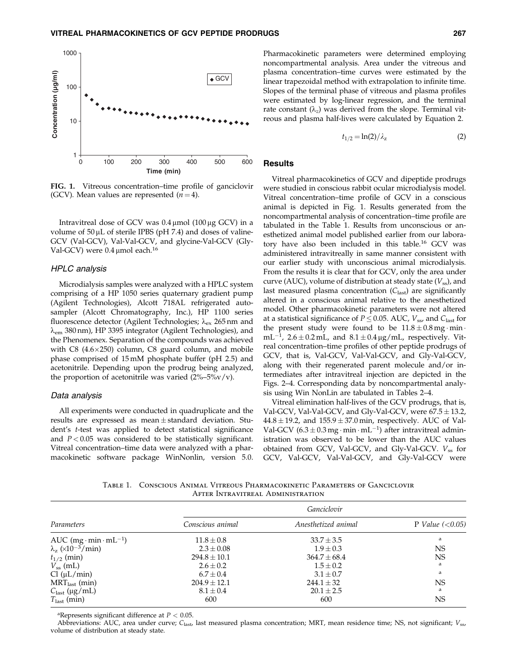

FIG. 1. Vitreous concentration–time profile of ganciclovir (GCV). Mean values are represented  $(n=4)$ .

Intravitreal dose of GCV was  $0.4 \mu$ mol (100  $\mu$ g GCV) in a volume of  $50 \mu L$  of sterile IPBS (pH 7.4) and doses of valine-GCV (Val-GCV), Val-Val-GCV, and glycine-Val-GCV (Gly-Val-GCV) were  $0.4 \mu$ mol each.<sup>16</sup>

#### HPLC analysis

Microdialysis samples were analyzed with a HPLC system comprising of a HP 1050 series quaternary gradient pump (Agilent Technologies), Alcott 718AL refrigerated autosampler (Alcott Chromatography, Inc.), HP 1100 series fluorescence detector (Agilent Technologies;  $\lambda_{ex}$  265 nm and  $\lambda_{\rm em}$  380 nm), HP 3395 integrator (Agilent Technologies), and the Phenomenex. Separation of the compounds was achieved with C8  $(4.6\times250)$  column, C8 guard column, and mobile phase comprised of 15 mM phosphate buffer (pH 2.5) and acetonitrile. Depending upon the prodrug being analyzed, the proportion of acetonitrile was varied  $(2\% - 5\% \text{v}/\text{v})$ .

#### Data analysis

All experiments were conducted in quadruplicate and the results are expressed as mean $\pm$ standard deviation. Student's *t*-test was applied to detect statistical significance and *P* < 0.05 was considered to be statistically significant. Vitreal concentration–time data were analyzed with a pharmacokinetic software package WinNonlin, version 5.0.

$$
t_{1/2} = \ln(2) / \lambda_z \tag{2}
$$

#### **Results**

Vitreal pharmacokinetics of GCV and dipeptide prodrugs were studied in conscious rabbit ocular microdialysis model. Vitreal concentration–time profile of GCV in a conscious animal is depicted in Fig. 1. Results generated from the noncompartmental analysis of concentration–time profile are tabulated in the Table 1. Results from unconscious or anesthetized animal model published earlier from our laboratory have also been included in this table.<sup>16</sup> GCV was administered intravitreally in same manner consistent with our earlier study with unconscious animal microdialysis. From the results it is clear that for GCV, only the area under curve (AUC), volume of distribution at steady state  $(V_{ss})$ , and last measured plasma concentration (C<sub>last</sub>) are significantly altered in a conscious animal relative to the anesthetized model. Other pharmacokinetic parameters were not altered at a statistical significance of  $P \leq 0.05$ . AUC,  $V_{ss}$ , and  $C_{last}$  for the present study were found to be  $11.8 \pm 0.8$  mg·min·  $mL^{-1}$ ,  $2.6 \pm 0.2$  mL, and  $8.1 \pm 0.4$  µg/mL, respectively. Vitreal concentration–time profiles of other peptide prodrugs of GCV, that is, Val-GCV, Val-Val-GCV, and Gly-Val-GCV, along with their regenerated parent molecule and/or intermediates after intravitreal injection are depicted in the Figs. 2–4. Corresponding data by noncompartmental analysis using Win NonLin are tabulated in Tables 2–4.

Vitreal elimination half-lives of the GCV prodrugs, that is, Val-GCV, Val-Val-GCV, and Gly-Val-GCV, were  $67.5 \pm 13.2$ ,  $44.8 \pm 19.2$ , and  $155.9 \pm 37.0$  min, respectively. AUC of Val-Val-GCV  $(6.3 \pm 0.3 \,\text{mg} \cdot \text{min} \cdot \text{mL}^{-1})$  after intravitreal administration was observed to be lower than the AUC values obtained from GCV, Val-GCV, and Gly-Val-GCV.  $V_{ss}$  for GCV, Val-GCV, Val-Val-GCV, and Gly-Val-GCV were

Table 1. Conscious Animal Vitreous Pharmacokinetic Parameters of Ganciclovir After Intravitreal Administration

| <i>Parameters</i>                      | Ganciclovir      |                     |                   |
|----------------------------------------|------------------|---------------------|-------------------|
|                                        | Conscious animal | Anesthetized animal | P Value $(<0.05)$ |
| AUC (mg·min·mL <sup>-1</sup> )         | $11.8 \pm 0.8$   | $33.7 \pm 3.5$      | а                 |
| $\lambda_{z}$ (×10 <sup>-3</sup> /min) | $2.3 \pm 0.08$   | $1.9 \pm 0.3$       | NS                |
| $t_{1/2}$ (min)                        | $294.8 \pm 10.1$ | $364.7 \pm 68.4$    | <b>NS</b>         |
| $V_{\rm ss}$ (mL)                      | $2.6 \pm 0.2$    | $1.5 \pm 0.2$       | a                 |
| Cl (µL/min)                            | $6.7 \pm 0.4$    | $3.1 \pm 0.7$       | a                 |
| $MRT_{last}$ (min)                     | $204.9 \pm 12.1$ | $244.1 \pm 32$      | <b>NS</b>         |
| $C_{\text{last}}$ (µg/mL)              | $8.1 \pm 0.4$    | $20.1 \pm 2.5$      | a                 |
| $T_{\text{last}}$ (min)                | 600              | 600                 | NS                |

<sup>a</sup>Represents significant difference at  $P < 0.05$ .

Abbreviations: AUC, area under curve; C<sub>last</sub>, last measured plasma concentration; MRT, mean residence time; NS, not significant; V<sub>ss</sub>, volume of distribution at steady state.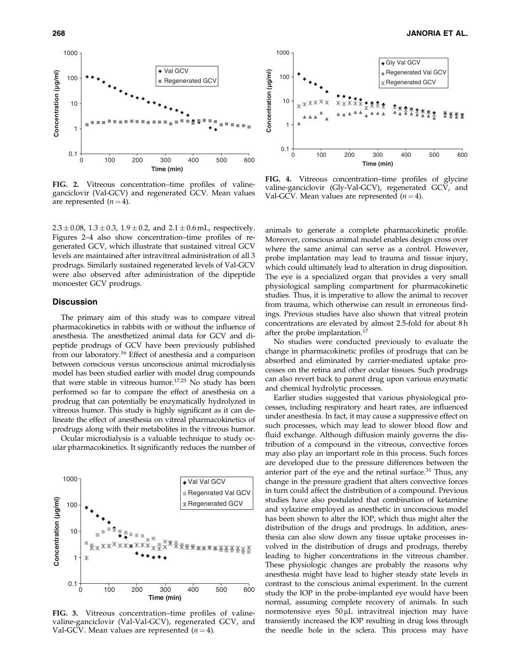

FIG. 2. Vitreous concentration–time profiles of valineganciclovir (Val-GCV) and regenerated GCV. Mean values are represented  $(n=4)$ .

 $2.3 \pm 0.08$ ,  $1.3 \pm 0.3$ ,  $1.9 \pm 0.2$ , and  $2.1 \pm 0.6$  mL, respectively. Figures 2–4 also show concentration–time profiles of regenerated GCV, which illustrate that sustained vitreal GCV levels are maintained after intravitreal administration of all 3 prodrugs. Similarly sustained regenerated levels of Val-GCV were also observed after administration of the dipeptide monoester GCV prodrugs.

# **Discussion**

The primary aim of this study was to compare vitreal pharmacokinetics in rabbits with or without the influence of anesthesia. The anesthetized animal data for GCV and dipeptide prodrugs of GCV have been previously published from our laboratory.<sup>16</sup> Effect of anesthesia and a comparison between conscious versus unconscious animal microdialysis model has been studied earlier with model drug compounds that were stable in vitreous humor.<sup>17,23</sup> No study has been performed so far to compare the effect of anesthesia on a prodrug that can potentially be enzymatically hydrolyzed in vitreous humor. This study is highly significant as it can delineate the effect of anesthesia on vitreal pharmacokinetics of prodrugs along with their metabolites in the vitreous humor.

Ocular microdialysis is a valuable technique to study ocular pharmacokinetics. It significantly reduces the number of



FIG. 3. Vitreous concentration–time profiles of valinevaline-ganciclovir (Val-Val-GCV), regenerated GCV, and Val-GCV. Mean values are represented  $(n=4)$ .



FIG. 4. Vitreous concentration–time profiles of glycine valine-ganciclovir (Gly-Val-GCV), regenerated GCV, and Val-GCV. Mean values are represented  $(n=4)$ .

animals to generate a complete pharmacokinetic profile. Moreover, conscious animal model enables design cross over where the same animal can serve as a control. However, probe implantation may lead to trauma and tissue injury, which could ultimately lead to alteration in drug disposition. The eye is a specialized organ that provides a very small physiological sampling compartment for pharmacokinetic studies. Thus, it is imperative to allow the animal to recover from trauma, which otherwise can result in erroneous findings. Previous studies have also shown that vitreal protein concentrations are elevated by almost 2.5-fold for about 8 h after the probe implantation.<sup>17</sup>

No studies were conducted previously to evaluate the change in pharmacokinetic profiles of prodrugs that can be absorbed and eliminated by carrier-mediated uptake processes on the retina and other ocular tissues. Such prodrugs can also revert back to parent drug upon various enzymatic and chemical hydrolytic processes.

Earlier studies suggested that various physiological processes, including respiratory and heart rates, are influenced under anesthesia. In fact, it may cause a suppressive effect on such processes, which may lead to slower blood flow and fluid exchange. Although diffusion mainly governs the distribution of a compound in the vitreous, convective forces may also play an important role in this process. Such forces are developed due to the pressure differences between the anterior part of the eye and the retinal surface. $31$  Thus, any change in the pressure gradient that alters convective forces in turn could affect the distribution of a compound. Previous studies have also postulated that combination of ketamine and xylazine employed as anesthetic in unconscious model has been shown to alter the IOP, which thus might alter the distribution of the drugs and prodrugs. In addition, anesthesia can also slow down any tissue uptake processes involved in the distribution of drugs and prodrugs, thereby leading to higher concentrations in the vitreous chamber. These physiologic changes are probably the reasons why anesthesia might have lead to higher steady state levels in contrast to the conscious animal experiment. In the current study the IOP in the probe-implanted eye would have been normal, assuming complete recovery of animals. In such normotensive eyes  $50 \mu L$  intravitreal injection may have transiently increased the IOP resulting in drug loss through the needle hole in the sclera. This process may have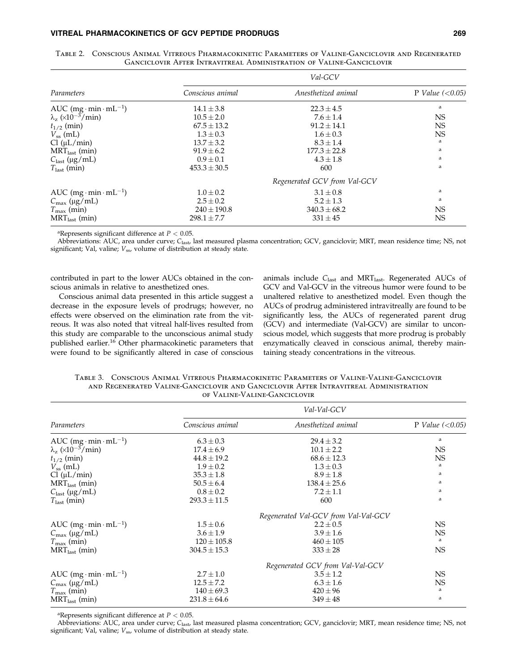# VITREAL PHARMACOKINETICS OF GCV PEPTIDE PRODRUGS 269

| Parameters                                     | Val-GCV                      |                     |                   |
|------------------------------------------------|------------------------------|---------------------|-------------------|
|                                                | Conscious animal             | Anesthetized animal | P Value $(<0.05)$ |
| AUC (mg $\cdot$ min $\cdot$ mL <sup>-1</sup> ) | $14.1 \pm 3.8$               | $22.3 \pm 4.5$      | a                 |
| $\lambda_{z}$ (×10 <sup>-3</sup> /min)         | $10.5 \pm 2.0$               | $7.6 \pm 1.4$       | NS                |
| $t_{1/2}$ (min)                                | $67.5 \pm 13.2$              | $91.2 \pm 14.1$     | <b>NS</b>         |
| $V_{ss}$ (mL)                                  | $1.3 \pm 0.3$                | $1.6 \pm 0.3$       | <b>NS</b>         |
| Cl (µL/min)                                    | $13.7 \pm 3.2$               | $8.3 \pm 1.4$       | a                 |
| $MRT_{last}$ (min)                             | $91.9 \pm 6.2$               | $177.3 \pm 22.8$    | a                 |
| $C_{\text{last}}$ (µg/mL)                      | $0.9 \pm 0.1$                | $4.3 \pm 1.8$       | a                 |
| $T_{\text{last}}$ (min)                        | $453.3 \pm 30.5$             | 600                 | a                 |
|                                                | Regenerated GCV from Val-GCV |                     |                   |
| AUC (mg·min·mL <sup>-1</sup> )                 | $1.0 \pm 0.2$                | $3.1 \pm 0.8$       | a                 |
| $C_{\text{max}}$ (µg/mL)                       | $2.5 \pm 0.2$                | $5.2 \pm 1.3$       | a                 |
| $T_{\rm max}$ (min)                            | $240 \pm 190.8$              | $340.3 \pm 68.2$    | <b>NS</b>         |
| $MRT_{last}$ (min)                             | $298.1 \pm 7.7$              | $331 \pm 45$        | <b>NS</b>         |

|                                                                     | TABLE 2. CONSCIOUS ANIMAL VITREOUS PHARMACOKINETIC PARAMETERS OF VALINE-GANCICLOVIR AND REGENERATED |  |  |
|---------------------------------------------------------------------|-----------------------------------------------------------------------------------------------------|--|--|
| GANCICLOVIR AFTER INTRAVITREAL ADMINISTRATION OF VALINE-GANCICLOVIR |                                                                                                     |  |  |

<sup>a</sup>Represents significant difference at  $P < 0.05$ .

Abbreviations: AUC, area under curve; C<sub>last</sub>, last measured plasma concentration; GCV, ganciclovir; MRT, mean residence time; NS, not significant; Val, valine;  $V_{ss}$ , volume of distribution at steady state.

contributed in part to the lower AUCs obtained in the conscious animals in relative to anesthetized ones.

Conscious animal data presented in this article suggest a decrease in the exposure levels of prodrugs; however, no effects were observed on the elimination rate from the vitreous. It was also noted that vitreal half-lives resulted from this study are comparable to the unconscious animal study published earlier.<sup>16</sup> Other pharmacokinetic parameters that were found to be significantly altered in case of conscious animals include C<sub>last</sub> and MRT<sub>last</sub>. Regenerated AUCs of GCV and Val-GCV in the vitreous humor were found to be unaltered relative to anesthetized model. Even though the AUCs of prodrug administered intravitreally are found to be significantly less, the AUCs of regenerated parent drug (GCV) and intermediate (Val-GCV) are similar to unconscious model, which suggests that more prodrug is probably enzymatically cleaved in conscious animal, thereby maintaining steady concentrations in the vitreous.

Table 3. Conscious Animal Vitreous Pharmacokinetic Parameters of Valine-Valine-Ganciclovir and Regenerated Valine-Ganciclovir and Ganciclovir After Intravitreal Administration of Valine-Valine-Ganciclovir

|                                                | Val-Val-GCV                      |                                      |                   |
|------------------------------------------------|----------------------------------|--------------------------------------|-------------------|
| Parameters                                     | Conscious animal                 | Anesthetized animal                  | P Value $(<0.05)$ |
| AUC (mg $\cdot$ min $\cdot$ mL <sup>-1</sup> ) | $6.3 \pm 0.3$                    | $29.4 \pm 3.2$                       | a                 |
| $\lambda_{z}$ (×10 <sup>-3</sup> /min)         | $17.4 \pm 6.9$                   | $10.1 \pm 2.2$                       | <b>NS</b>         |
| $t_{1/2}$ (min)                                | $44.8 \pm 19.2$                  | $68.6 \pm 12.3$                      | $_{\rm NS}$       |
| $V_{\rm ss}$ (mL)                              | $1.9 \pm 0.2$                    | $1.3 \pm 0.3$                        | a                 |
| Cl (µL/min)                                    | $35.3 \pm 1.8$                   | $8.9 \pm 1.8$                        | a                 |
| $MRT_{last}$ (min)                             | $50.5 \pm 6.4$                   | $138.4 \pm 25.6$                     | a                 |
| $C_{\text{last}}$ (µg/mL)                      | $0.8 \pm 0.2$                    | $7.2 \pm 1.1$                        | a                 |
| $T_{\text{last}}$ (min)                        | $293.3 \pm 11.5$                 | 600                                  | a                 |
|                                                |                                  | Regenerated Val-GCV from Val-Val-GCV |                   |
| AUC (mg·min·mL <sup>-1</sup> )                 | $1.5 \pm 0.6$                    | $2.2 \pm 0.5$                        | <b>NS</b>         |
| $C_{\text{max}}$ (µg/mL)                       | $3.6 \pm 1.9$                    | $3.9 \pm 1.6$                        | <b>NS</b>         |
| $T_{\rm max}$ (min)                            | $120 \pm 105.8$                  | $460 \pm 105$                        | a                 |
| $MRT_{last}$ (min)                             | $304.5 \pm 15.3$                 | $333 \pm 28$                         | <b>NS</b>         |
|                                                | Regenerated GCV from Val-Val-GCV |                                      |                   |
| AUC (mg·min·mL <sup>-1</sup> )                 | $2.7 \pm 1.0$                    | $3.5 \pm 1.2$                        | <b>NS</b>         |
| $C_{\text{max}}$ (µg/mL)                       | $12.5 \pm 7.2$                   | $6.3 \pm 1.6$                        | <b>NS</b>         |
| $T_{\rm max}$ (min)                            | $140 \pm 69.3$                   | $420 \pm 96$                         | a                 |
| $MRT_{last}$ (min)                             | $231.8 \pm 64.6$                 | $349 \pm 48$                         | a                 |

<sup>a</sup>Represents significant difference at  $P < 0.05$ .

Abbreviations: AUC, area under curve; C<sub>last</sub>, last measured plasma concentration; GCV, ganciclovir; MRT, mean residence time; NS, not significant; Val, valine; V<sub>ss</sub>, volume of distribution at steady state.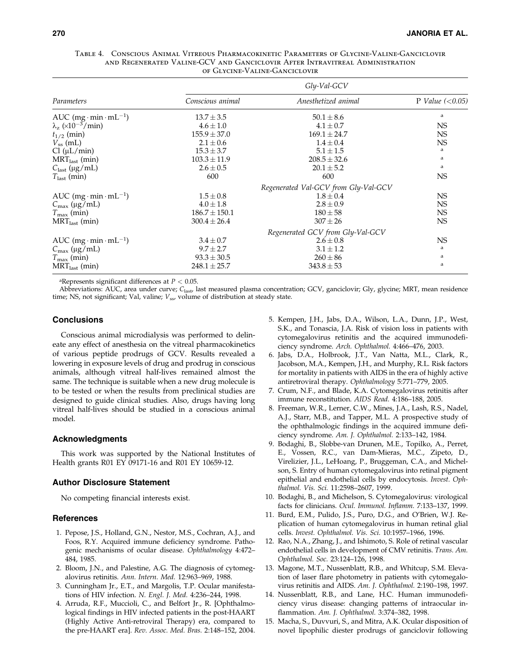| Parameters                             | Gly-Val-GCV       |                                      |                   |  |
|----------------------------------------|-------------------|--------------------------------------|-------------------|--|
|                                        | Conscious animal  | Anesthetized animal                  | P Value $(<0.05)$ |  |
| AUC (mg·min·mL <sup>-1</sup> )         | $13.7 \pm 3.5$    | $50.1 \pm 8.6$                       | a                 |  |
| $\lambda_{z}$ (×10 <sup>-3</sup> /min) | $4.6 \pm 1.0$     | $4.1 \pm 0.7$                        | <b>NS</b>         |  |
| $t_{1/2}$ (min)                        | $155.9 \pm 37.0$  | $169.1 \pm 24.7$                     | <b>NS</b>         |  |
| $V_{ss}$ (mL)                          | $2.1 \pm 0.6$     | $1.4 \pm 0.4$                        | <b>NS</b>         |  |
| Cl (µL/min)                            | $15.3 \pm 3.7$    | $5.1 \pm 1.5$                        | a                 |  |
| $MRT_{last}$ (min)                     | $103.3 \pm 11.9$  | $208.5 \pm 32.6$                     | a                 |  |
| $C_{\text{last}}$ (µg/mL)              | $2.6 \pm 0.5$     | $20.1 \pm 5.2$                       | a                 |  |
| $T_{\text{last}}$ (min)                | 600               | 600                                  | <b>NS</b>         |  |
|                                        |                   | Regenerated Val-GCV from Gly-Val-GCV |                   |  |
| AUC (mg·min·m $L^{-1}$ )               | $1.5 \pm 0.8$     | $1.8 \pm 0.4$                        | <b>NS</b>         |  |
| $C_{\text{max}}$ (µg/mL)               | $4.0 \pm 1.8$     | $2.8 \pm 0.9$                        | <b>NS</b>         |  |
| $T_{\text{max}}$ (min)                 | $186.7 \pm 150.1$ | $180 \pm 58$                         | <b>NS</b>         |  |
| $MRT_{last}$ (min)                     | $300.4 \pm 26.4$  | $307 \pm 26$                         | <b>NS</b>         |  |
|                                        |                   | Regenerated GCV from Gly-Val-GCV     |                   |  |
| AUC (mg·min·mL <sup>-1</sup> )         | $3.4 \pm 0.7$     | $2.6 \pm 0.8$                        | <b>NS</b>         |  |
| $C_{\text{max}}$ (µg/mL)               | $9.7 \pm 2.7$     | $3.1 \pm 1.2$                        | a                 |  |
| $T_{\text{max}}$ (min)                 | $93.3 \pm 30.5$   | $260 \pm 86$                         | a                 |  |
| $MRT_{last}$ (min)                     | $248.1 \pm 25.7$  | $343.8 \pm 53$                       | a                 |  |

### Table 4. Conscious Animal Vitreous Pharmacokinetic Parameters of Glycine-Valine-Ganciclovir and Regenerated Valine-GCV and Ganciclovir After Intravitreal Administration of Glycine-Valine-Ganciclovir

<sup>a</sup>Represents significant differences at  $P < 0.05$ .

Abbreviations: AUC, area under curve; C<sub>last</sub>, last measured plasma concentration; GCV, ganciclovir; Gly, glycine; MRT, mean residence time; NS, not significant; Val, valine; V<sub>ss</sub>, volume of distribution at steady state.

#### Conclusions

Conscious animal microdialysis was performed to delineate any effect of anesthesia on the vitreal pharmacokinetics of various peptide prodrugs of GCV. Results revealed a lowering in exposure levels of drug and prodrug in conscious animals, although vitreal half-lives remained almost the same. The technique is suitable when a new drug molecule is to be tested or when the results from preclinical studies are designed to guide clinical studies. Also, drugs having long vitreal half-lives should be studied in a conscious animal model.

#### Acknowledgments

This work was supported by the National Institutes of Health grants R01 EY 09171-16 and R01 EY 10659-12.

#### Author Disclosure Statement

No competing financial interests exist.

#### **References**

- 1. Pepose, J.S., Holland, G.N., Nestor, M.S., Cochran, A.J., and Foos, R.Y. Acquired immune deficiency syndrome. Pathogenic mechanisms of ocular disease. *Ophthalmology* 4:472– 484, 1985.
- 2. Bloom, J.N., and Palestine, A.G. The diagnosis of cytomegalovirus retinitis. *Ann. Intern. Med.* 12:963–969, 1988.
- 3. Cunningham Jr., E.T., and Margolis, T.P. Ocular manifestations of HIV infection. *N. Engl. J. Med.* 4:236–244, 1998.
- 4. Arruda, R.F., Muccioli, C., and Belfort Jr., R. [Ophthalmological findings in HIV infected patients in the post-HAART (Highly Active Anti-retroviral Therapy) era, compared to the pre-HAART era]. *Rev. Assoc. Med. Bras.* 2:148–152, 2004.
- 5. Kempen, J.H., Jabs, D.A., Wilson, L.A., Dunn, J.P., West, S.K., and Tonascia, J.A. Risk of vision loss in patients with cytomegalovirus retinitis and the acquired immunodeficiency syndrome. *Arch. Ophthalmol.* 4:466–476, 2003.
- 6. Jabs, D.A., Holbrook, J.T., Van Natta, M.L., Clark, R., Jacobson, M.A., Kempen, J.H., and Murphy, R.L. Risk factors for mortality in patients with AIDS in the era of highly active antiretroviral therapy. *Ophthalmology* 5:771–779, 2005.
- 7. Crum, N.F., and Blade, K.A. Cytomegalovirus retinitis after immune reconstitution. *AIDS Read.* 4:186–188, 2005.
- 8. Freeman, W.R., Lerner, C.W., Mines, J.A., Lash, R.S., Nadel, A.J., Starr, M.B., and Tapper, M.L. A prospective study of the ophthalmologic findings in the acquired immune deficiency syndrome. *Am. J. Ophthalmol.* 2:133–142, 1984.
- 9. Bodaghi, B., Slobbe-van Drunen, M.E., Topilko, A., Perret, E., Vossen, R.C., van Dam-Mieras, M.C., Zipeto, D., Virelizier, J.L., LeHoang, P., Bruggeman, C.A., and Michelson, S. Entry of human cytomegalovirus into retinal pigment epithelial and endothelial cells by endocytosis. *Invest. Ophthalmol. Vis. Sci.* 11:2598–2607, 1999.
- 10. Bodaghi, B., and Michelson, S. Cytomegalovirus: virological facts for clinicians. *Ocul. Immunol. Inflamm.* 7:133–137, 1999.
- 11. Burd, E.M., Pulido, J.S., Puro, D.G., and O'Brien, W.J. Replication of human cytomegalovirus in human retinal glial cells. *Invest. Ophthalmol. Vis. Sci.* 10:1957–1966, 1996.
- 12. Rao, N.A., Zhang, J., and Ishimoto, S. Role of retinal vascular endothelial cells in development of CMV retinitis. *Trans. Am. Ophthalmol. Soc.* 23:124–126, 1998.
- 13. Magone, M.T., Nussenblatt, R.B., and Whitcup, S.M. Elevation of laser flare photometry in patients with cytomegalovirus retinitis and AIDS. *Am. J. Ophthalmol.* 2:190–198, 1997.
- 14. Nussenblatt, R.B., and Lane, H.C. Human immunodeficiency virus disease: changing patterns of intraocular inflammation. *Am. J. Ophthalmol.* 3:374–382, 1998.
- 15. Macha, S., Duvvuri, S., and Mitra, A.K. Ocular disposition of novel lipophilic diester prodrugs of ganciclovir following